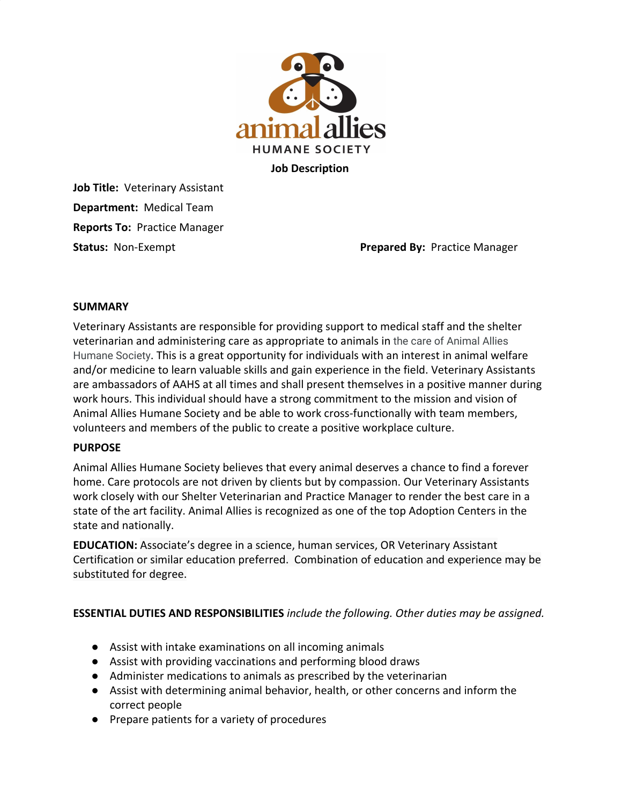

**Job Description**

**Job Title:** Veterinary Assistant **Department:** Medical Team **Reports To:** Practice Manager

**Status:** Non-Exempt **Prepared By:** Practice Manager

#### **SUMMARY**

Veterinary Assistants are responsible for providing support to medical staff and the shelter veterinarian and administering care as appropriate to animals in the care of Animal Allies Humane Society. This is a great opportunity for individuals with an interest in animal welfare and/or medicine to learn valuable skills and gain experience in the field. Veterinary Assistants are ambassadors of AAHS at all times and shall present themselves in a positive manner during work hours. This individual should have a strong commitment to the mission and vision of Animal Allies Humane Society and be able to work cross-functionally with team members, volunteers and members of the public to create a positive workplace culture.

#### **PURPOSE**

Animal Allies Humane Society believes that every animal deserves a chance to find a forever home. Care protocols are not driven by clients but by compassion. Our Veterinary Assistants work closely with our Shelter Veterinarian and Practice Manager to render the best care in a state of the art facility. Animal Allies is recognized as one of the top Adoption Centers in the state and nationally.

**EDUCATION:** Associate's degree in a science, human services, OR Veterinary Assistant Certification or similar education preferred. Combination of education and experience may be substituted for degree.

# **ESSENTIAL DUTIES AND RESPONSIBILITIES** *include the following. Other duties may be assigned.*

- Assist with intake examinations on all incoming animals
- Assist with providing vaccinations and performing blood draws
- Administer medications to animals as prescribed by the veterinarian
- Assist with determining animal behavior, health, or other concerns and inform the correct people
- Prepare patients for a variety of procedures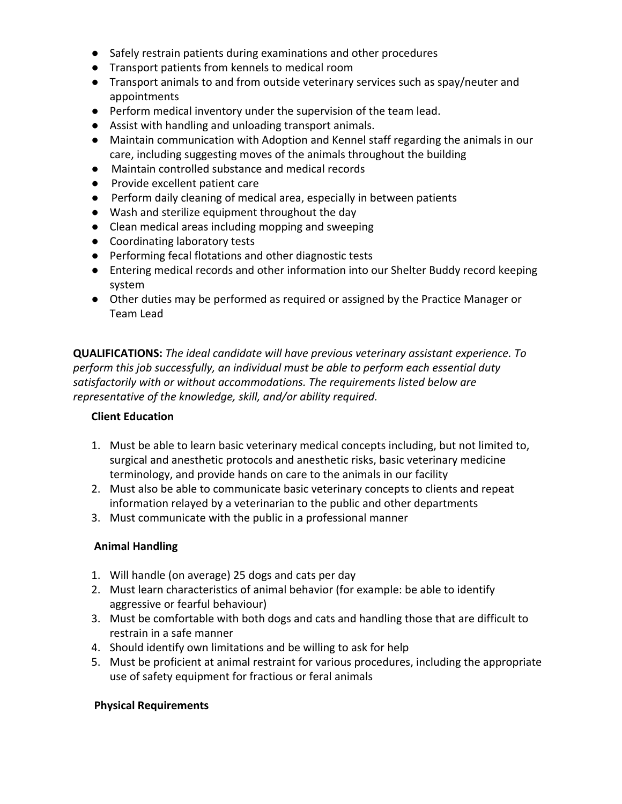- Safely restrain patients during examinations and other procedures
- Transport patients from kennels to medical room
- Transport animals to and from outside veterinary services such as spay/neuter and appointments
- Perform medical inventory under the supervision of the team lead.
- Assist with handling and unloading transport animals.
- Maintain communication with Adoption and Kennel staff regarding the animals in our care, including suggesting moves of the animals throughout the building
- Maintain controlled substance and medical records
- Provide excellent patient care
- Perform daily cleaning of medical area, especially in between patients
- Wash and sterilize equipment throughout the day
- Clean medical areas including mopping and sweeping
- Coordinating laboratory tests
- Performing fecal flotations and other diagnostic tests
- Entering medical records and other information into our Shelter Buddy record keeping system
- Other duties may be performed as required or assigned by the Practice Manager or Team Lead

**QUALIFICATIONS:** *The ideal candidate will have previous veterinary assistant experience. To perform this job successfully, an individual must be able to perform each essential duty satisfactorily with or without accommodations. The requirements listed below are representative of the knowledge, skill, and/or ability required.*

# **Client Education**

- 1. Must be able to learn basic veterinary medical concepts including, but not limited to, surgical and anesthetic protocols and anesthetic risks, basic veterinary medicine terminology, and provide hands on care to the animals in our facility
- 2. Must also be able to communicate basic veterinary concepts to clients and repeat information relayed by a veterinarian to the public and other departments
- 3. Must communicate with the public in a professional manner

# **Animal Handling**

- 1. Will handle (on average) 25 dogs and cats per day
- 2. Must learn characteristics of animal behavior (for example: be able to identify aggressive or fearful behaviour)
- 3. Must be comfortable with both dogs and cats and handling those that are difficult to restrain in a safe manner
- 4. Should identify own limitations and be willing to ask for help
- 5. Must be proficient at animal restraint for various procedures, including the appropriate use of safety equipment for fractious or feral animals

# **Physical Requirements**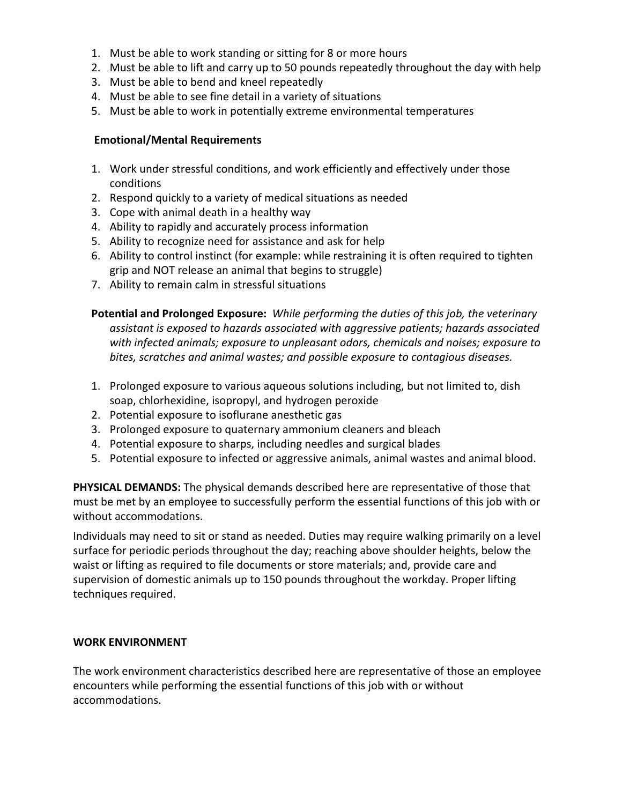- 1. Must be able to work standing or sitting for 8 or more hours
- 2. Must be able to lift and carry up to 50 pounds repeatedly throughout the day with help
- 3. Must be able to bend and kneel repeatedly
- 4. Must be able to see fine detail in a variety of situations
- 5. Must be able to work in potentially extreme environmental temperatures

#### **Emotional/Mental Requirements**

- 1. Work under stressful conditions, and work efficiently and effectively under those conditions
- 2. Respond quickly to a variety of medical situations as needed
- 3. Cope with animal death in a healthy way
- 4. Ability to rapidly and accurately process information
- 5. Ability to recognize need for assistance and ask for help
- 6. Ability to control instinct (for example: while restraining it is often required to tighten grip and NOT release an animal that begins to struggle)
- 7. Ability to remain calm in stressful situations

**Potential and Prolonged Exposure:** *While performing the duties of this job, the veterinary assistant is exposed to hazards associated with aggressive patients; hazards associated with infected animals; exposure to unpleasant odors, chemicals and noises; exposure to bites, scratches and animal wastes; and possible exposure to contagious diseases.*

- 1. Prolonged exposure to various aqueous solutions including, but not limited to, dish soap, chlorhexidine, isopropyl, and hydrogen peroxide
- 2. Potential exposure to isoflurane anesthetic gas
- 3. Prolonged exposure to quaternary ammonium cleaners and bleach
- 4. Potential exposure to sharps, including needles and surgical blades
- 5. Potential exposure to infected or aggressive animals, animal wastes and animal blood.

**PHYSICAL DEMANDS:** The physical demands described here are representative of those that must be met by an employee to successfully perform the essential functions of this job with or without accommodations.

Individuals may need to sit or stand as needed. Duties may require walking primarily on a level surface for periodic periods throughout the day; reaching above shoulder heights, below the waist or lifting as required to file documents or store materials; and, provide care and supervision of domestic animals up to 150 pounds throughout the workday. Proper lifting techniques required.

#### **WORK ENVIRONMENT**

The work environment characteristics described here are representative of those an employee encounters while performing the essential functions of this job with or without accommodations.